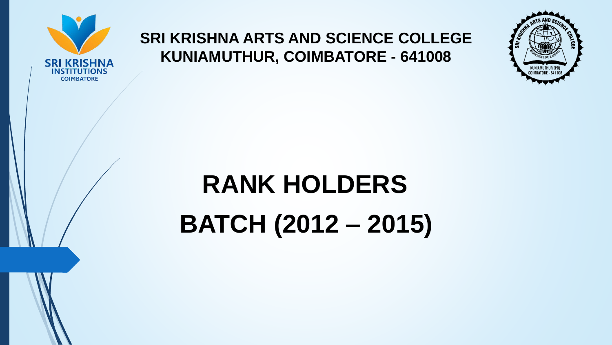

## **SRI KRISHNA ARTS AND SCIENCE COLLEGE KUNIAMUTHUR, COIMBATORE - 641008**



## **RANK HOLDERS**

**BATCH (2012 – 2015)**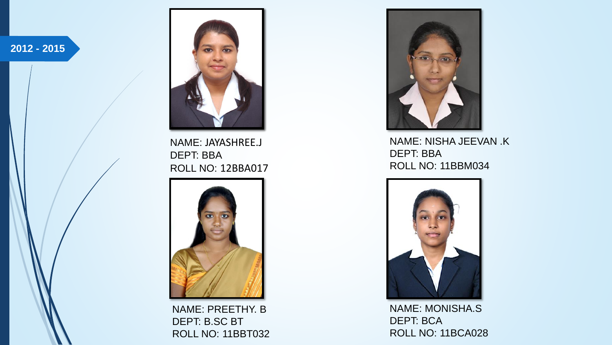**2012 - 2015**



NAME: JAYASHREE.J DEPT: BBA ROLL NO: 12BBA017



NAME: PREETHY. B DEPT: B.SC BT ROLL NO: 11BBT032



NAME: NISHA JEEVAN .K DEPT: BBA ROLL NO: 11BBM034



NAME: MONISHA.S DEPT: BCA ROLL NO: 11BCA028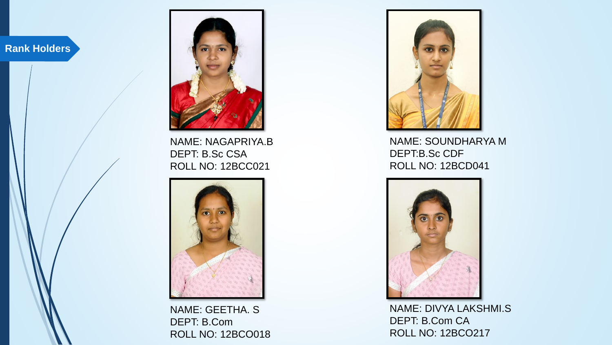

NAME: NAGAPRIYA.B DEPT: B.Sc CSA ROLL NO: 12BCC021



NAME: GEETHA. S DEPT: B.Com ROLL NO: 12BCO018



NAME: SOUNDHARYA M DEPT:B.Sc CDF ROLL NO: 12BCD041



NAME: DIVYA LAKSHMI.S DEPT: B.Com CA ROLL NO: 12BCO217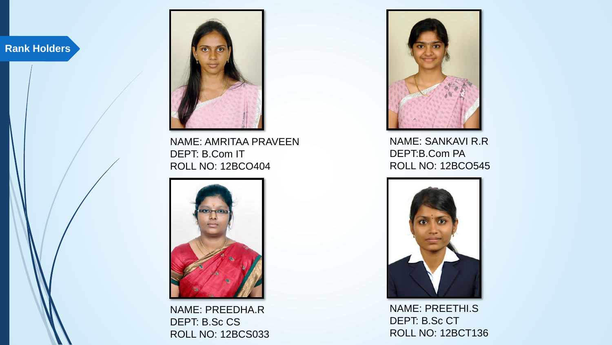

NAME: AMRITAA PRAVEEN DEPT: B.Com IT ROLL NO: 12BCO404



NAME: PREEDHA.R DEPT: B.Sc CS ROLL NO: 12BCS033



NAME: SANKAVI R.R DEPT:B.Com PA ROLL NO: 12BCO545



NAME: PREETHI.S DEPT: B.Sc CT ROLL NO: 12BCT136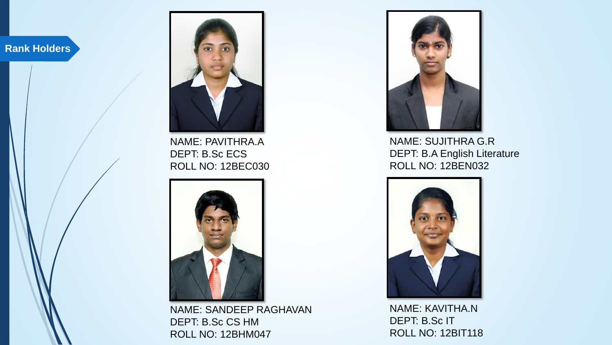

NAME: PAVITHRA.A DEPT: B.Sc ECS ROLL NO: 12BEC030



NAME: SANDEEP RAGHAVAN DEPT: B.Sc CS HM ROLL NO: 12BHM047



NAME: SUJITHRA G.R DEPT: B.A English Literature ROLL NO: 12BEN032



NAME: KAVITHA.N DEPT: B.Sc IT ROLL NO: 12BIT118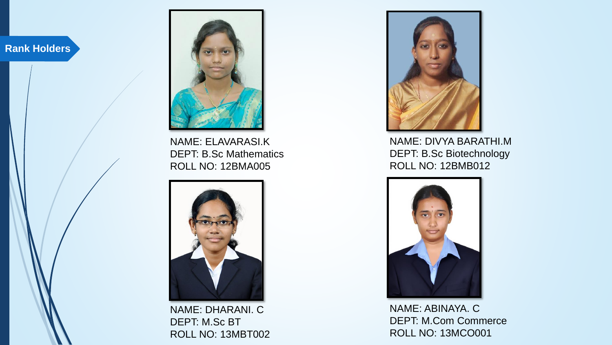

NAME: ELAVARASI.K DEPT: B.Sc Mathematics ROLL NO: 12BMA005



NAME: DHARANI. C DEPT: M.Sc BT ROLL NO: 13MBT002



NAME: DIVYA BARATHI.M DEPT: B.Sc Biotechnology ROLL NO: 12BMB012



NAME: ABINAYA. C DEPT: M.Com Commerce ROLL NO: 13MCO001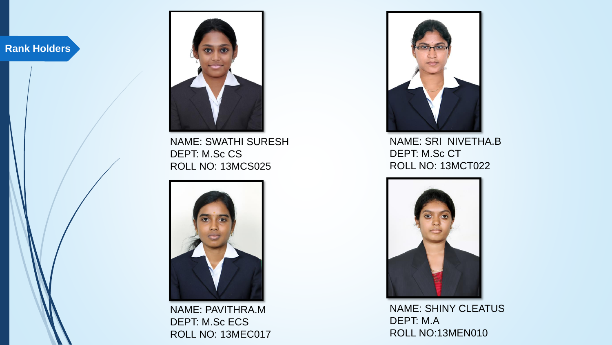

NAME: SWATHI SURESH DEPT: M.Sc CS ROLL NO: 13MCS025



NAME: PAVITHRA.M DEPT: M.Sc ECS ROLL NO: 13MEC017



NAME: SRI NIVETHA.B DEPT: M.Sc CT ROLL NO: 13MCT022



NAME: SHINY CLEATUS DEPT: M.A ROLL NO:13MEN010